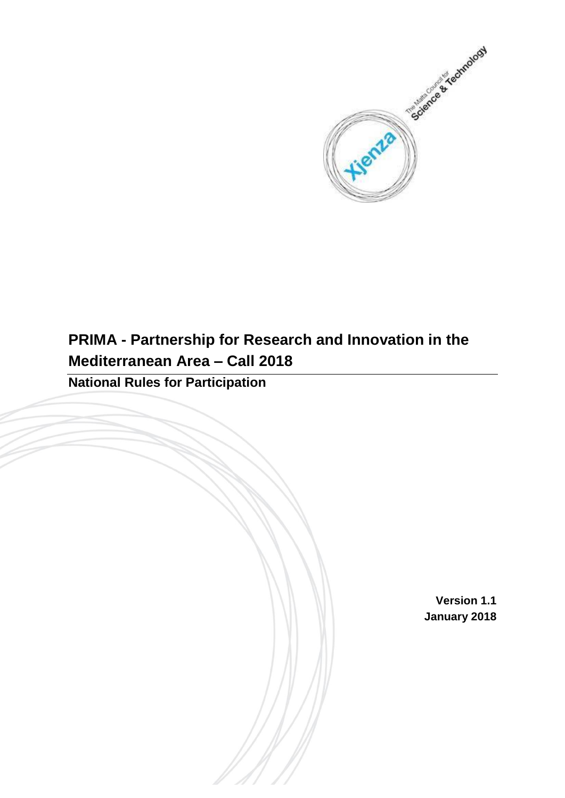

# **PRIMA - Partnership for Research and Innovation in the Mediterranean Area – Call 2018**

**National Rules for Participation**

**Version 1.1 January 2018**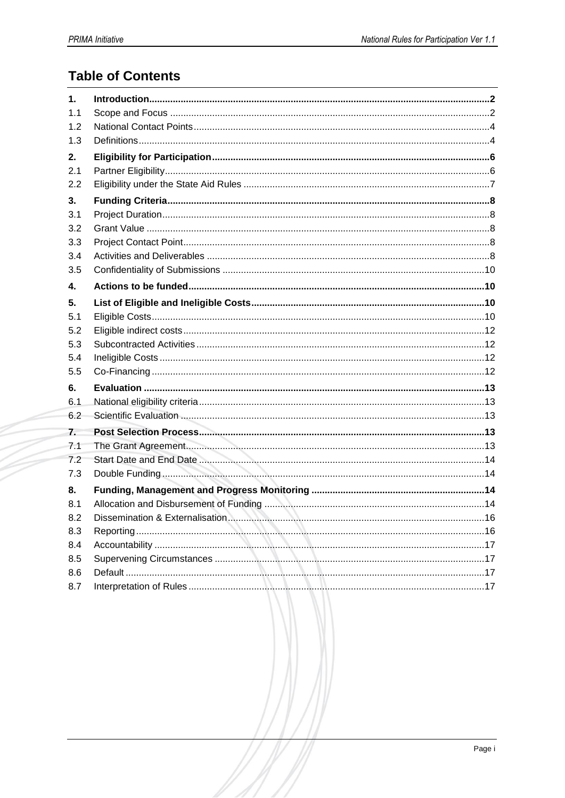## **Table of Contents**

| 1.  |  |
|-----|--|
| 1.1 |  |
| 1.2 |  |
| 1.3 |  |
| 2.  |  |
| 2.1 |  |
| 2.2 |  |
| 3.  |  |
| 3.1 |  |
| 3.2 |  |
| 3.3 |  |
| 3.4 |  |
| 3.5 |  |
| 4.  |  |
| 5.  |  |
| 5.1 |  |
| 5.2 |  |
| 5.3 |  |
| 5.4 |  |
| 5.5 |  |
| 6.  |  |
| 6.1 |  |
| 6.2 |  |
| 7.  |  |
| 7.1 |  |
| 7.2 |  |
| 7.3 |  |
| 8.  |  |
| 8.1 |  |
| 8.2 |  |
| 8.3 |  |
| 8.4 |  |
| 8.5 |  |
| 8.6 |  |
| 8.7 |  |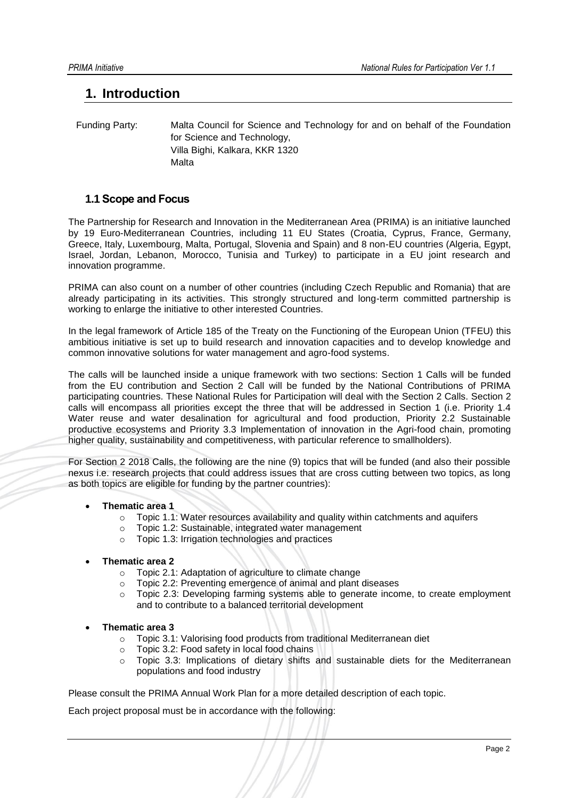## <span id="page-2-0"></span>**1. Introduction**

 Funding Party: Malta Council for Science and Technology for and on behalf of the Foundation for Science and Technology, Villa Bighi, Kalkara, KKR 1320 Malta

## <span id="page-2-1"></span>**1.1 Scope and Focus**

The Partnership for Research and Innovation in the Mediterranean Area (PRIMA) is an initiative launched by 19 Euro-Mediterranean Countries, including 11 EU States (Croatia, Cyprus, France, Germany, Greece, Italy, Luxembourg, Malta, Portugal, Slovenia and Spain) and 8 non-EU countries (Algeria, Egypt, Israel, Jordan, Lebanon, Morocco, Tunisia and Turkey) to participate in a EU joint research and innovation programme.

PRIMA can also count on a number of other countries (including Czech Republic and Romania) that are already participating in its activities. This strongly structured and long-term committed partnership is working to enlarge the initiative to other interested Countries.

In the legal framework of Article 185 of the Treaty on the Functioning of the European Union (TFEU) this ambitious initiative is set up to build research and innovation capacities and to develop knowledge and common innovative solutions for water management and agro-food systems.

The calls will be launched inside a unique framework with two sections: Section 1 Calls will be funded from the EU contribution and Section 2 Call will be funded by the National Contributions of PRIMA participating countries. These National Rules for Participation will deal with the Section 2 Calls. Section 2 calls will encompass all priorities except the three that will be addressed in Section 1 (i.e. Priority 1.4 Water reuse and water desalination for agricultural and food production, Priority 2.2 Sustainable productive ecosystems and Priority 3.3 Implementation of innovation in the Agri-food chain, promoting higher quality, sustainability and competitiveness, with particular reference to smallholders).

For Section 2 2018 Calls, the following are the nine (9) topics that will be funded (and also their possible nexus i.e. research projects that could address issues that are cross cutting between two topics, as long as both topics are eligible for funding by the partner countries):

### **Thematic area 1**

- $\circ$  Topic 1.1: Water resources availability and quality within catchments and aquifers
- o Topic 1.2: Sustainable, integrated water management
- o Topic 1.3: Irrigation technologies and practices
- **Thematic area 2**
	- o Topic 2.1: Adaptation of agriculture to climate change
	- o Topic 2.2: Preventing emergence of animal and plant diseases
	- o Topic 2.3: Developing farming systems able to generate income, to create employment and to contribute to a balanced territorial development
- **Thematic area 3**
	- o Topic 3.1: Valorising food products from traditional Mediterranean diet
	- o Topic 3.2: Food safety in local food chains
	- o Topic 3.3: Implications of dietary shifts and sustainable diets for the Mediterranean populations and food industry

Please consult the PRIMA Annual Work Plan for a more detailed description of each topic.

Each project proposal must be in accordance with the following: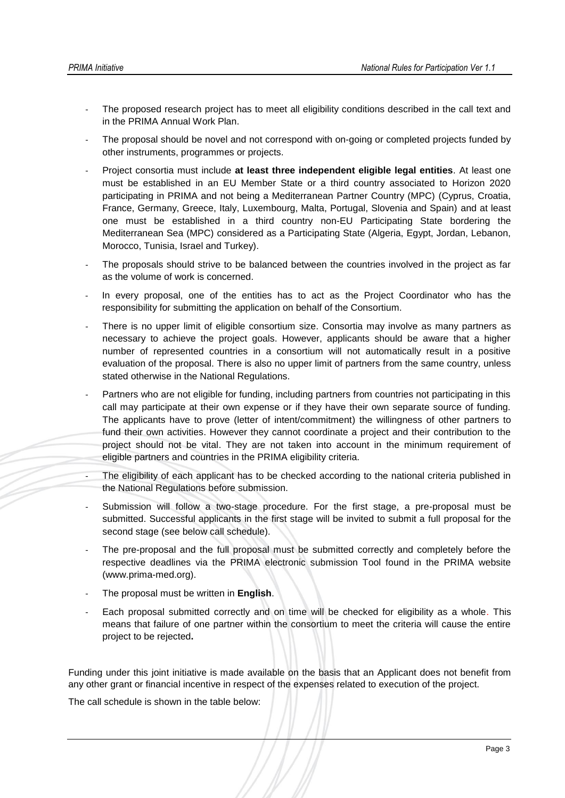- The proposed research project has to meet all eligibility conditions described in the call text and in the PRIMA Annual Work Plan.
- The proposal should be novel and not correspond with on-going or completed projects funded by other instruments, programmes or projects.
- Project consortia must include **at least three independent eligible legal entities**. At least one must be established in an EU Member State or a third country associated to Horizon 2020 participating in PRIMA and not being a Mediterranean Partner Country (MPC) (Cyprus, Croatia, France, Germany, Greece, Italy, Luxembourg, Malta, Portugal, Slovenia and Spain) and at least one must be established in a third country non-EU Participating State bordering the Mediterranean Sea (MPC) considered as a Participating State (Algeria, Egypt, Jordan, Lebanon, Morocco, Tunisia, Israel and Turkey).
- The proposals should strive to be balanced between the countries involved in the project as far as the volume of work is concerned.
- In every proposal, one of the entities has to act as the Project Coordinator who has the responsibility for submitting the application on behalf of the Consortium.
- There is no upper limit of eligible consortium size. Consortia may involve as many partners as necessary to achieve the project goals. However, applicants should be aware that a higher number of represented countries in a consortium will not automatically result in a positive evaluation of the proposal. There is also no upper limit of partners from the same country, unless stated otherwise in the National Regulations.
- Partners who are not eligible for funding, including partners from countries not participating in this call may participate at their own expense or if they have their own separate source of funding. The applicants have to prove (letter of intent/commitment) the willingness of other partners to fund their own activities. However they cannot coordinate a project and their contribution to the project should not be vital. They are not taken into account in the minimum requirement of eligible partners and countries in the PRIMA eligibility criteria.
- The eligibility of each applicant has to be checked according to the national criteria published in the National Regulations before submission.
- Submission will follow a two-stage procedure. For the first stage, a pre-proposal must be submitted. Successful applicants in the first stage will be invited to submit a full proposal for the second stage (see below call schedule).
- The pre-proposal and the full proposal must be submitted correctly and completely before the respective deadlines via the PRIMA electronic submission Tool found in the PRIMA website (www.prima-med.org).
- The proposal must be written in **English**.
- Each proposal submitted correctly and on time will be checked for eligibility as a whole. This means that failure of one partner within the consortium to meet the criteria will cause the entire project to be rejected**.**

Funding under this joint initiative is made available on the basis that an Applicant does not benefit from any other grant or financial incentive in respect of the expenses related to execution of the project.

The call schedule is shown in the table below: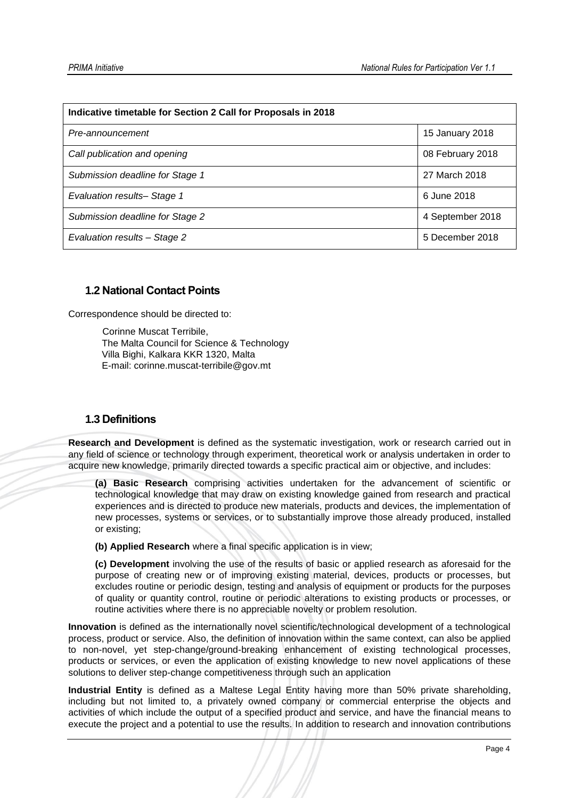| Indicative timetable for Section 2 Call for Proposals in 2018 |                  |  |  |
|---------------------------------------------------------------|------------------|--|--|
| Pre-announcement                                              | 15 January 2018  |  |  |
| Call publication and opening                                  | 08 February 2018 |  |  |
| Submission deadline for Stage 1                               | 27 March 2018    |  |  |
| Evaluation results- Stage 1                                   | 6 June 2018      |  |  |
| Submission deadline for Stage 2                               | 4 September 2018 |  |  |
| Evaluation results - Stage 2                                  | 5 December 2018  |  |  |

## <span id="page-4-0"></span>**1.2 National Contact Points**

Correspondence should be directed to:

Corinne Muscat Terribile, The Malta Council for Science & Technology Villa Bighi, Kalkara KKR 1320, Malta E-mail: corinne.muscat-terribile@gov.mt

## <span id="page-4-1"></span>**1.3 Definitions**

**Research and Development** is defined as the systematic investigation, work or research carried out in any field of science or technology through experiment, theoretical work or analysis undertaken in order to acquire new knowledge, primarily directed towards a specific practical aim or objective, and includes:

**(a) Basic Research** comprising activities undertaken for the advancement of scientific or technological knowledge that may draw on existing knowledge gained from research and practical experiences and is directed to produce new materials, products and devices, the implementation of new processes, systems or services, or to substantially improve those already produced, installed or existing;

**(b) Applied Research** where a final specific application is in view;

**(c) Development** involving the use of the results of basic or applied research as aforesaid for the purpose of creating new or of improving existing material, devices, products or processes, but excludes routine or periodic design, testing and analysis of equipment or products for the purposes of quality or quantity control, routine or periodic alterations to existing products or processes, or routine activities where there is no appreciable novelty or problem resolution.

**Innovation** is defined as the internationally novel scientific/technological development of a technological process, product or service. Also, the definition of innovation within the same context, can also be applied to non-novel, yet step-change/ground-breaking enhancement of existing technological processes, products or services, or even the application of existing knowledge to new novel applications of these solutions to deliver step-change competitiveness through such an application

**Industrial Entity** is defined as a Maltese Legal Entity having more than 50% private shareholding, including but not limited to, a privately owned company or commercial enterprise the objects and activities of which include the output of a specified product and service, and have the financial means to execute the project and a potential to use the results. In addition to research and innovation contributions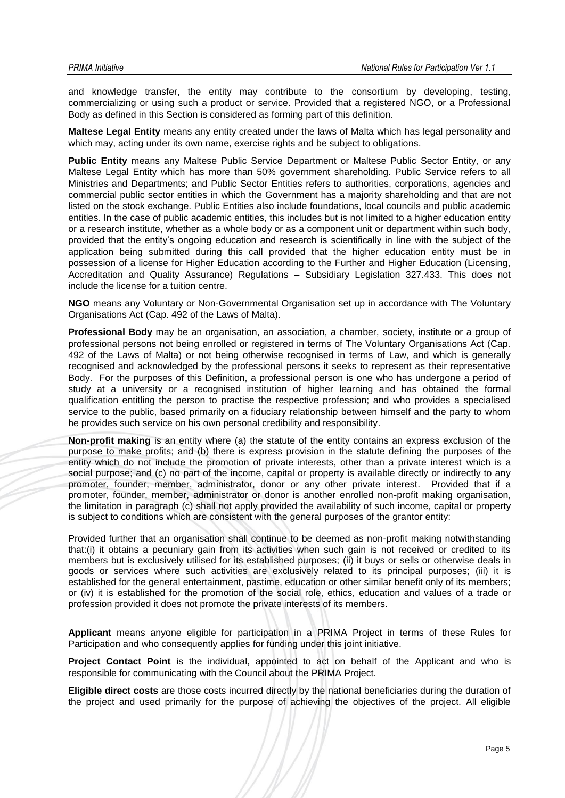and knowledge transfer, the entity may contribute to the consortium by developing, testing, commercializing or using such a product or service. Provided that a registered NGO, or a Professional Body as defined in this Section is considered as forming part of this definition.

**Maltese Legal Entity** means any entity created under the laws of Malta which has legal personality and which may, acting under its own name, exercise rights and be subject to obligations.

**Public Entity** means any Maltese Public Service Department or Maltese Public Sector Entity, or any Maltese Legal Entity which has more than 50% government shareholding. Public Service refers to all Ministries and Departments; and Public Sector Entities refers to authorities, corporations, agencies and commercial public sector entities in which the Government has a majority shareholding and that are not listed on the stock exchange. Public Entities also include foundations, local councils and public academic entities. In the case of public academic entities, this includes but is not limited to a higher education entity or a research institute, whether as a whole body or as a component unit or department within such body, provided that the entity's ongoing education and research is scientifically in line with the subject of the application being submitted during this call provided that the higher education entity must be in possession of a license for Higher Education according to the Further and Higher Education (Licensing, Accreditation and Quality Assurance) Regulations – Subsidiary Legislation 327.433. This does not include the license for a tuition centre.

**NGO** means any Voluntary or Non-Governmental Organisation set up in accordance with The Voluntary Organisations Act (Cap. 492 of the Laws of Malta).

**Professional Body** may be an organisation, an association, a chamber, society, institute or a group of professional persons not being enrolled or registered in terms of The Voluntary Organisations Act (Cap. 492 of the Laws of Malta) or not being otherwise recognised in terms of Law, and which is generally recognised and acknowledged by the professional persons it seeks to represent as their representative Body. For the purposes of this Definition, a professional person is one who has undergone a period of study at a university or a recognised institution of higher learning and has obtained the formal qualification entitling the person to practise the respective profession; and who provides a specialised service to the public, based primarily on a fiduciary relationship between himself and the party to whom he provides such service on his own personal credibility and responsibility.

**Non-profit making** is an entity where (a) the statute of the entity contains an express exclusion of the purpose to make profits; and (b) there is express provision in the statute defining the purposes of the entity which do not include the promotion of private interests, other than a private interest which is a social purpose; and (c) no part of the income, capital or property is available directly or indirectly to any promoter, founder, member, administrator, donor or any other private interest. Provided that if a promoter, founder, member, administrator or donor is another enrolled non-profit making organisation, the limitation in paragraph (c) shall not apply provided the availability of such income, capital or property is subject to conditions which are consistent with the general purposes of the grantor entity:

Provided further that an organisation shall continue to be deemed as non-profit making notwithstanding that:(i) it obtains a pecuniary gain from its activities when such gain is not received or credited to its members but is exclusively utilised for its established purposes; (ii) it buys or sells or otherwise deals in goods or services where such activities are exclusively related to its principal purposes; (iii) it is established for the general entertainment, pastime, education or other similar benefit only of its members; or (iv) it is established for the promotion of the social role, ethics, education and values of a trade or profession provided it does not promote the private interests of its members.

**Applicant** means anyone eligible for participation in a PRIMA Project in terms of these Rules for Participation and who consequently applies for funding under this joint initiative.

**Project Contact Point** is the individual, appointed to act on behalf of the Applicant and who is responsible for communicating with the Council about the PRIMA Project.

**Eligible direct costs** are those costs incurred directly by the national beneficiaries during the duration of the project and used primarily for the purpose of achieving the objectives of the project. All eligible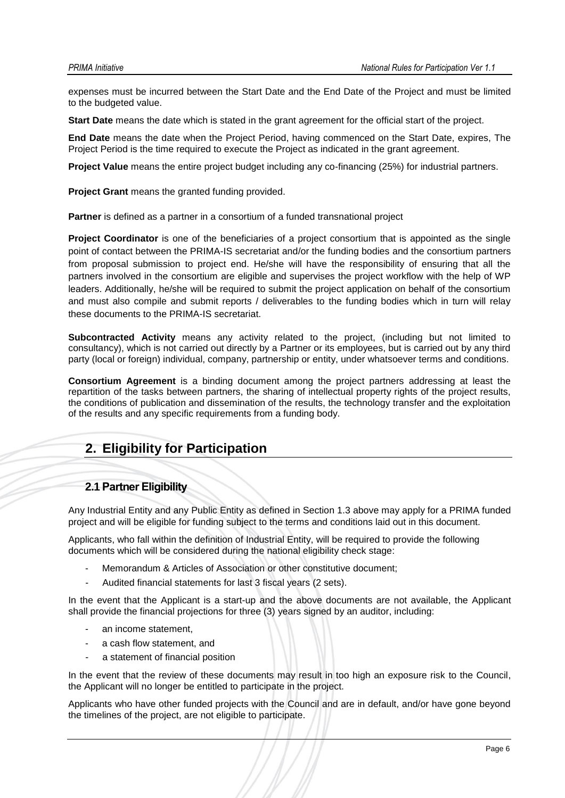expenses must be incurred between the Start Date and the End Date of the Project and must be limited to the budgeted value.

**Start Date** means the date which is stated in the grant agreement for the official start of the project.

**End Date** means the date when the Project Period, having commenced on the Start Date, expires, The Project Period is the time required to execute the Project as indicated in the grant agreement.

**Project Value** means the entire project budget including any co-financing (25%) for industrial partners.

**Project Grant** means the granted funding provided.

**Partner** is defined as a partner in a consortium of a funded transnational project

**Project Coordinator** is one of the beneficiaries of a project consortium that is appointed as the single point of contact between the PRIMA-IS secretariat and/or the funding bodies and the consortium partners from proposal submission to project end. He/she will have the responsibility of ensuring that all the partners involved in the consortium are eligible and supervises the project workflow with the help of WP leaders. Additionally, he/she will be required to submit the project application on behalf of the consortium and must also compile and submit reports / deliverables to the funding bodies which in turn will relay these documents to the PRIMA-IS secretariat.

**Subcontracted Activity** means any activity related to the project, (including but not limited to consultancy), which is not carried out directly by a Partner or its employees, but is carried out by any third party (local or foreign) individual, company, partnership or entity, under whatsoever terms and conditions.

**Consortium Agreement** is a binding document among the project partners addressing at least the repartition of the tasks between partners, the sharing of intellectual property rights of the project results, the conditions of publication and dissemination of the results, the technology transfer and the exploitation of the results and any specific requirements from a funding body.

## <span id="page-6-0"></span>**2. Eligibility for Participation**

### <span id="page-6-1"></span>**2.1 Partner Eligibility**

Any Industrial Entity and any Public Entity as defined in Section 1.3 above may apply for a PRIMA funded project and will be eligible for funding subject to the terms and conditions laid out in this document*.*

Applicants, who fall within the definition of Industrial Entity, will be required to provide the following documents which will be considered during the national eligibility check stage:

- Memorandum & Articles of Association or other constitutive document;
- Audited financial statements for last 3 fiscal years (2 sets).

In the event that the Applicant is a start-up and the above documents are not available, the Applicant shall provide the financial projections for three (3) years signed by an auditor, including:

- an income statement.
- a cash flow statement, and
- a statement of financial position

In the event that the review of these documents may result in too high an exposure risk to the Council, the Applicant will no longer be entitled to participate in the project.

Applicants who have other funded projects with the Council and are in default, and/or have gone beyond the timelines of the project, are not eligible to participate.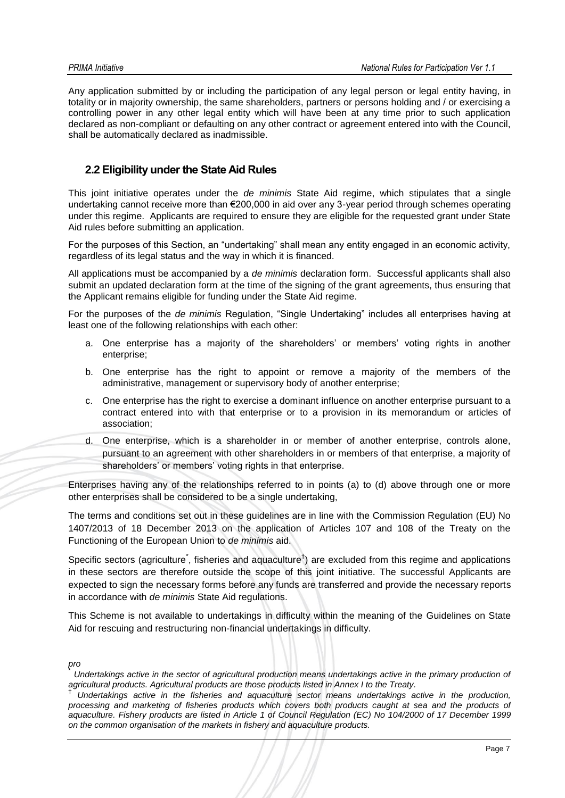Any application submitted by or including the participation of any legal person or legal entity having, in totality or in majority ownership, the same shareholders, partners or persons holding and / or exercising a controlling power in any other legal entity which will have been at any time prior to such application declared as non-compliant or defaulting on any other contract or agreement entered into with the Council, shall be automatically declared as inadmissible.

## <span id="page-7-0"></span>**2.2 Eligibility under the State Aid Rules**

This joint initiative operates under the *de minimis* State Aid regime, which stipulates that a single undertaking cannot receive more than €200,000 in aid over any 3-year period through schemes operating under this regime. Applicants are required to ensure they are eligible for the requested grant under State Aid rules before submitting an application.

For the purposes of this Section, an "undertaking" shall mean any entity engaged in an economic activity, regardless of its legal status and the way in which it is financed.

All applications must be accompanied by a *de minimis* declaration form. Successful applicants shall also submit an updated declaration form at the time of the signing of the grant agreements, thus ensuring that the Applicant remains eligible for funding under the State Aid regime.

For the purposes of the *de minimis* Regulation, "Single Undertaking" includes all enterprises having at least one of the following relationships with each other:

- a. One enterprise has a majority of the shareholders' or members' voting rights in another enterprise;
- b. One enterprise has the right to appoint or remove a majority of the members of the administrative, management or supervisory body of another enterprise;
- c. One enterprise has the right to exercise a dominant influence on another enterprise pursuant to a contract entered into with that enterprise or to a provision in its memorandum or articles of association;
- d. One enterprise, which is a shareholder in or member of another enterprise, controls alone, pursuant to an agreement with other shareholders in or members of that enterprise, a majority of shareholders' or members' voting rights in that enterprise.

Enterprises having any of the relationships referred to in points (a) to (d) above through one or more other enterprises shall be considered to be a single undertaking,

The terms and conditions set out in these guidelines are in line with the Commission Regulation (EU) No 1407/2013 of 18 December 2013 on the application of Articles 107 and 108 of the Treaty on the Functioning of the European Union to *de minimis* aid.

Specific sectors (agriculture<sup>\*</sup>, fisheries and aquaculture<sup>†</sup>) are excluded from this regime and applications in these sectors are therefore outside the scope of this joint initiative. The successful Applicants are expected to sign the necessary forms before any funds are transferred and provide the necessary reports in accordance with *de minimis* State Aid regulations.

This Scheme is not available to undertakings in difficulty within the meaning of the Guidelines on State Aid for rescuing and restructuring non-financial undertakings in difficulty.

*pro*

\* *Undertakings active in the sector of agricultural production means undertakings active in the primary production of agricultural products. Agricultural products are those products listed in Annex I to the Treaty.* †

*Undertakings active in the fisheries and aquaculture sector means undertakings active in the production, processing and marketing of fisheries products which covers both products caught at sea and the products of aquaculture. Fishery products are listed in Article 1 of Council Regulation (EC) No 104/2000 of 17 December 1999 on the common organisation of the markets in fishery and aquaculture products.*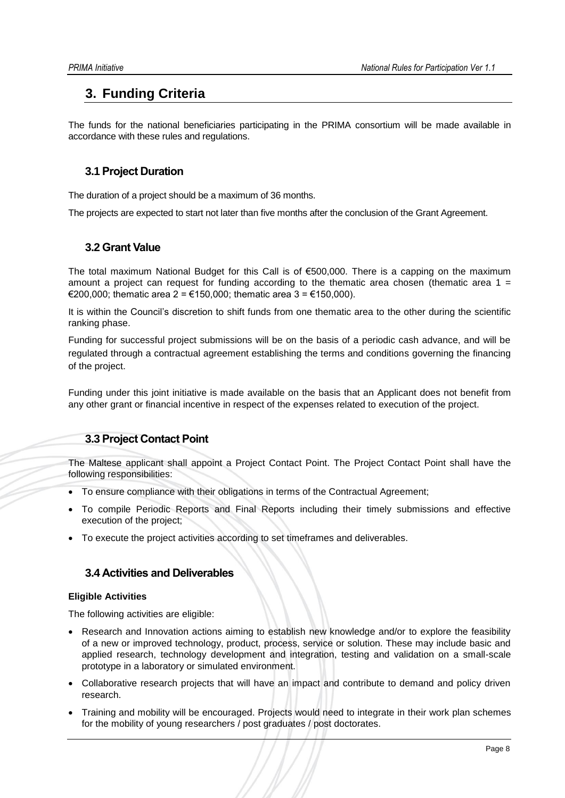## <span id="page-8-0"></span>**3. Funding Criteria**

The funds for the national beneficiaries participating in the PRIMA consortium will be made available in accordance with these rules and regulations.

## <span id="page-8-1"></span>**3.1 Project Duration**

The duration of a project should be a maximum of 36 months.

<span id="page-8-2"></span>The projects are expected to start not later than five months after the conclusion of the Grant Agreement.

## **3.2 Grant Value**

The total maximum National Budget for this Call is of €500,000. There is a capping on the maximum amount a project can request for funding according to the thematic area chosen (thematic area  $1 =$ €200,000; thematic area 2 = €150,000; thematic area 3 = €150,000).

It is within the Council's discretion to shift funds from one thematic area to the other during the scientific ranking phase.

Funding for successful project submissions will be on the basis of a periodic cash advance, and will be regulated through a contractual agreement establishing the terms and conditions governing the financing of the project.

Funding under this joint initiative is made available on the basis that an Applicant does not benefit from any other grant or financial incentive in respect of the expenses related to execution of the project.

## <span id="page-8-3"></span>**3.3 Project Contact Point**

The Maltese applicant shall appoint a Project Contact Point. The Project Contact Point shall have the following responsibilities:

- To ensure compliance with their obligations in terms of the Contractual Agreement;
- To compile Periodic Reports and Final Reports including their timely submissions and effective execution of the project;
- <span id="page-8-4"></span>To execute the project activities according to set timeframes and deliverables.

## **3.4 Activities and Deliverables**

### **Eligible Activities**

The following activities are eligible:

- Research and Innovation actions aiming to establish new knowledge and/or to explore the feasibility of a new or improved technology, product, process, service or solution. These may include basic and applied research, technology development and integration, testing and validation on a small-scale prototype in a laboratory or simulated environment.
- Collaborative research projects that will have an impact and contribute to demand and policy driven research.
- Training and mobility will be encouraged. Projects would need to integrate in their work plan schemes for the mobility of young researchers / post graduates / post doctorates.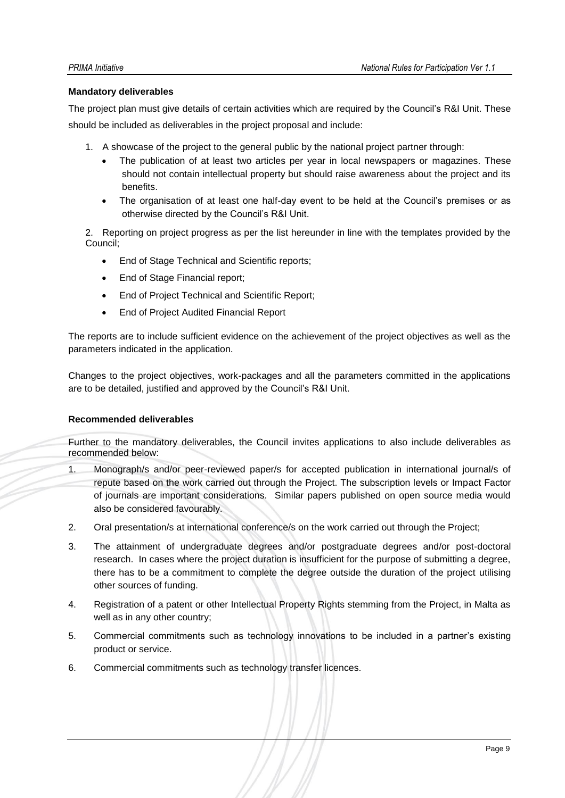#### **Mandatory deliverables**

The project plan must give details of certain activities which are required by the Council's R&I Unit. These should be included as deliverables in the project proposal and include:

- 1. A showcase of the project to the general public by the national project partner through:
	- The publication of at least two articles per year in local newspapers or magazines. These should not contain intellectual property but should raise awareness about the project and its benefits.
	- The organisation of at least one half-day event to be held at the Council's premises or as otherwise directed by the Council's R&I Unit.

2. Reporting on project progress as per the list hereunder in line with the templates provided by the Council;

- End of Stage Technical and Scientific reports;
- End of Stage Financial report;
- End of Project Technical and Scientific Report;
- End of Project Audited Financial Report

The reports are to include sufficient evidence on the achievement of the project objectives as well as the parameters indicated in the application.

Changes to the project objectives, work-packages and all the parameters committed in the applications are to be detailed, justified and approved by the Council's R&I Unit.

### **Recommended deliverables**

Further to the mandatory deliverables, the Council invites applications to also include deliverables as recommended below:

- 1. Monograph/s and/or peer-reviewed paper/s for accepted publication in international journal/s of repute based on the work carried out through the Project. The subscription levels or Impact Factor of journals are important considerations. Similar papers published on open source media would also be considered favourably.
- 2. Oral presentation/s at international conference/s on the work carried out through the Project;
- 3. The attainment of undergraduate degrees and/or postgraduate degrees and/or post-doctoral research. In cases where the project duration is insufficient for the purpose of submitting a degree, there has to be a commitment to complete the degree outside the duration of the project utilising other sources of funding.
- 4. Registration of a patent or other Intellectual Property Rights stemming from the Project, in Malta as well as in any other country;
- 5. Commercial commitments such as technology innovations to be included in a partner's existing product or service.
- 6. Commercial commitments such as technology transfer licences.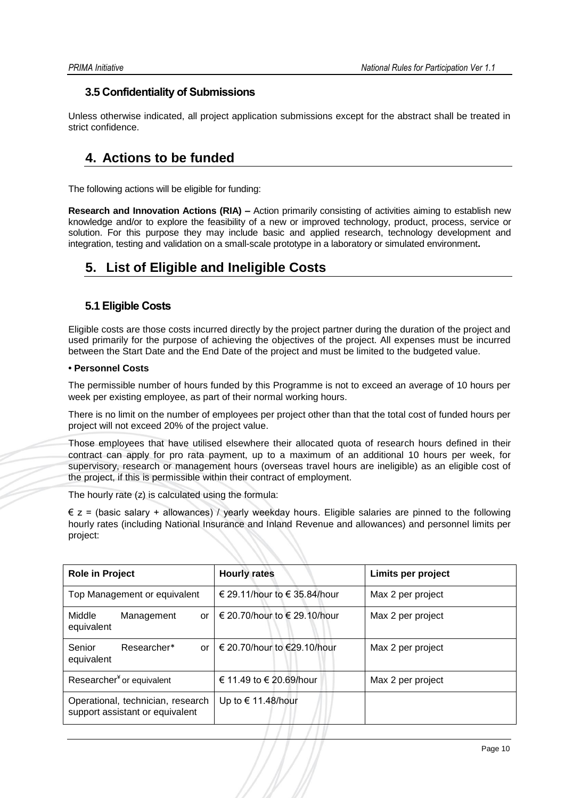## <span id="page-10-0"></span>**3.5 Confidentiality of Submissions**

Unless otherwise indicated, all project application submissions except for the abstract shall be treated in strict confidence.

## <span id="page-10-1"></span>**4. Actions to be funded**

The following actions will be eligible for funding:

**Research and Innovation Actions (RIA) –** Action primarily consisting of activities aiming to establish new knowledge and/or to explore the feasibility of a new or improved technology, product, process, service or solution. For this purpose they may include basic and applied research, technology development and integration, testing and validation on a small-scale prototype in a laboratory or simulated environment**.**

## <span id="page-10-2"></span>**5. List of Eligible and Ineligible Costs**

## <span id="page-10-3"></span>**5.1 Eligible Costs**

Eligible costs are those costs incurred directly by the project partner during the duration of the project and used primarily for the purpose of achieving the objectives of the project. All expenses must be incurred between the Start Date and the End Date of the project and must be limited to the budgeted value.

## **• Personnel Costs**

The permissible number of hours funded by this Programme is not to exceed an average of 10 hours per week per existing employee, as part of their normal working hours.

There is no limit on the number of employees per project other than that the total cost of funded hours per project will not exceed 20% of the project value.

Those employees that have utilised elsewhere their allocated quota of research hours defined in their contract can apply for pro rata payment, up to a maximum of an additional 10 hours per week, for supervisory, research or management hours (overseas travel hours are ineligible) as an eligible cost of the project, if this is permissible within their contract of employment.

The hourly rate (z) is calculated using the formula:

 $\epsilon$  z = (basic salary + allowances) / yearly weekday hours. Eligible salaries are pinned to the following hourly rates (including National Insurance and Inland Revenue and allowances) and personnel limits per project:

| <b>Role in Project</b>                                               | <b>Hourly rates</b>                        | Limits per project |
|----------------------------------------------------------------------|--------------------------------------------|--------------------|
| Top Management or equivalent                                         | € 29.11/hour to € 35.84/hour               | Max 2 per project  |
| Middle<br>Management<br>or<br>equivalent                             | $\vert \in$ 20.70/hour to $\in$ 29.10/hour | Max 2 per project  |
| Senior<br>Researcher*<br>or<br>equivalent                            | € 20.70/hour to €29.10/hour                | Max 2 per project  |
| Researcher <sup>*</sup> or equivalent                                | € 11.49 to € 20.69/hour                    | Max 2 per project  |
| Operational, technician, research<br>support assistant or equivalent | Up to € 11.48/hour                         |                    |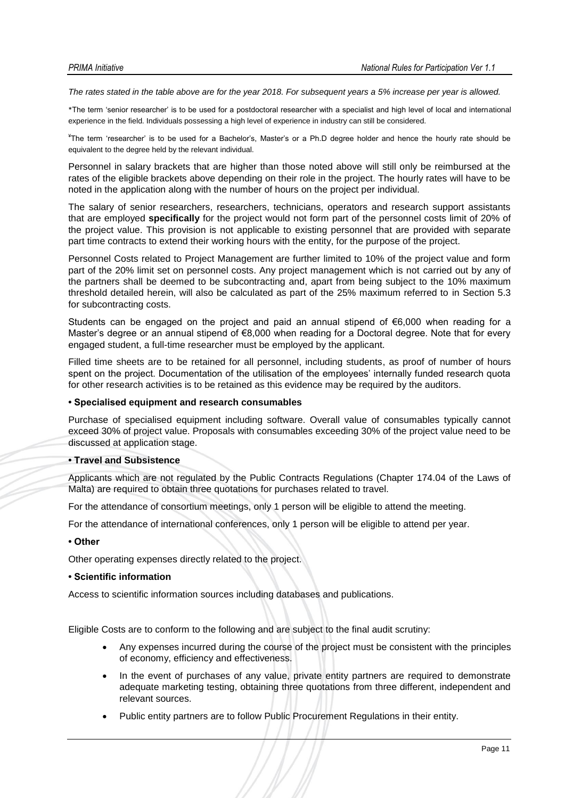*The rates stated in the table above are for the year 2018. For subsequent years a 5% increase per year is allowed.* 

\*The term 'senior researcher' is to be used for a postdoctoral researcher with a specialist and high level of local and international experience in the field. Individuals possessing a high level of experience in industry can still be considered.

¥ The term 'researcher' is to be used for a Bachelor's, Master's or a Ph.D degree holder and hence the hourly rate should be equivalent to the degree held by the relevant individual.

Personnel in salary brackets that are higher than those noted above will still only be reimbursed at the rates of the eligible brackets above depending on their role in the project. The hourly rates will have to be noted in the application along with the number of hours on the project per individual.

The salary of senior researchers, researchers, technicians, operators and research support assistants that are employed **specifically** for the project would not form part of the personnel costs limit of 20% of the project value. This provision is not applicable to existing personnel that are provided with separate part time contracts to extend their working hours with the entity, for the purpose of the project.

Personnel Costs related to Project Management are further limited to 10% of the project value and form part of the 20% limit set on personnel costs. Any project management which is not carried out by any of the partners shall be deemed to be subcontracting and, apart from being subject to the 10% maximum threshold detailed herein, will also be calculated as part of the 25% maximum referred to in Section 5.3 for subcontracting costs.

Students can be engaged on the project and paid an annual stipend of  $\epsilon$ 6,000 when reading for a Master's degree or an annual stipend of €8,000 when reading for a Doctoral degree. Note that for every engaged student, a full-time researcher must be employed by the applicant.

Filled time sheets are to be retained for all personnel, including students, as proof of number of hours spent on the project. Documentation of the utilisation of the employees' internally funded research quota for other research activities is to be retained as this evidence may be required by the auditors.

#### **• Specialised equipment and research consumables**

Purchase of specialised equipment including software. Overall value of consumables typically cannot exceed 30% of project value. Proposals with consumables exceeding 30% of the project value need to be discussed at application stage.

#### **• Travel and Subsistence**

Applicants which are not regulated by the Public Contracts Regulations (Chapter 174.04 of the Laws of Malta) are required to obtain three quotations for purchases related to travel.

For the attendance of consortium meetings, only 1 person will be eligible to attend the meeting.

For the attendance of international conferences, only 1 person will be eligible to attend per year.

#### **• Other**

Other operating expenses directly related to the project.

#### **• Scientific information**

Access to scientific information sources including databases and publications.

Eligible Costs are to conform to the following and are subject to the final audit scrutiny:

- Any expenses incurred during the course of the project must be consistent with the principles of economy, efficiency and effectiveness.
- In the event of purchases of any value, private entity partners are required to demonstrate adequate marketing testing, obtaining three quotations from three different, independent and relevant sources.
- Public entity partners are to follow Public Procurement Regulations in their entity.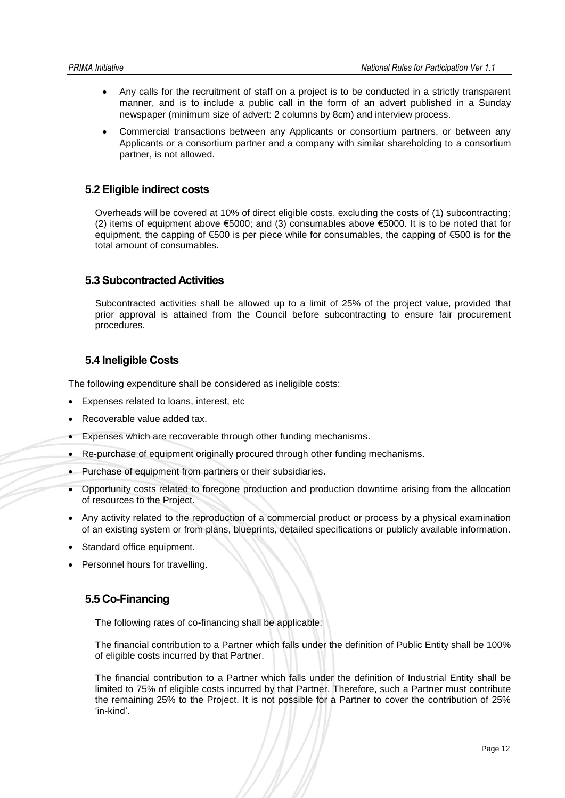- Any calls for the recruitment of staff on a project is to be conducted in a strictly transparent manner, and is to include a public call in the form of an advert published in a Sunday newspaper (minimum size of advert: 2 columns by 8cm) and interview process.
- Commercial transactions between any Applicants or consortium partners, or between any Applicants or a consortium partner and a company with similar shareholding to a consortium partner, is not allowed.

## <span id="page-12-0"></span>**5.2 Eligible indirect costs**

Overheads will be covered at 10% of direct eligible costs, excluding the costs of (1) subcontracting; (2) items of equipment above €5000; and (3) consumables above €5000. It is to be noted that for equipment, the capping of  $\epsilon$ 500 is per piece while for consumables, the capping of  $\epsilon$ 500 is for the total amount of consumables.

## <span id="page-12-1"></span>**5.3 Subcontracted Activities**

Subcontracted activities shall be allowed up to a limit of 25% of the project value, provided that prior approval is attained from the Council before subcontracting to ensure fair procurement procedures.

## <span id="page-12-2"></span>**5.4 Ineligible Costs**

The following expenditure shall be considered as ineligible costs:

- Expenses related to loans, interest, etc
- Recoverable value added tax.
- Expenses which are recoverable through other funding mechanisms.
- Re-purchase of equipment originally procured through other funding mechanisms.
- Purchase of equipment from partners or their subsidiaries.
- Opportunity costs related to foregone production and production downtime arising from the allocation of resources to the Project.
- Any activity related to the reproduction of a commercial product or process by a physical examination of an existing system or from plans, blueprints, detailed specifications or publicly available information.
- Standard office equipment.
- <span id="page-12-3"></span>Personnel hours for travelling.

## **5.5 Co-Financing**

The following rates of co-financing shall be applicable:

The financial contribution to a Partner which falls under the definition of Public Entity shall be 100% of eligible costs incurred by that Partner.

The financial contribution to a Partner which falls under the definition of Industrial Entity shall be limited to 75% of eligible costs incurred by that Partner. Therefore, such a Partner must contribute the remaining 25% to the Project. It is not possible for a Partner to cover the contribution of 25% 'in-kind'.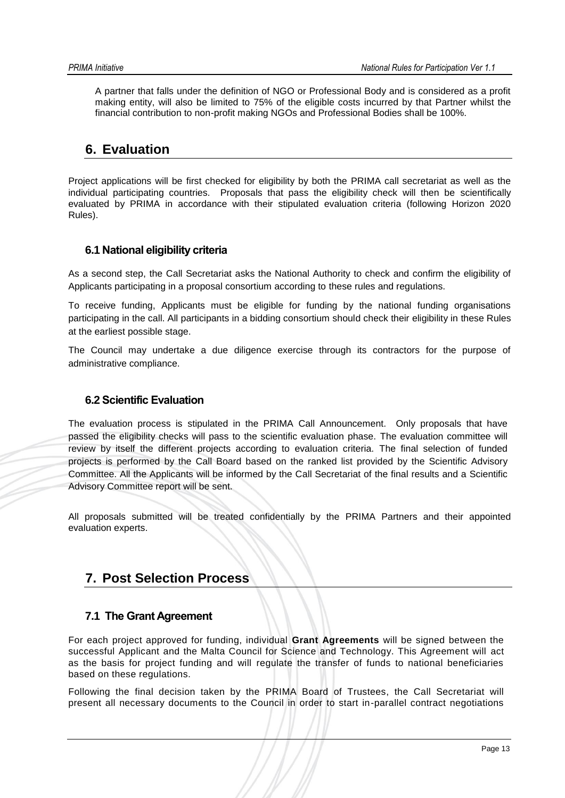A partner that falls under the definition of NGO or Professional Body and is considered as a profit making entity, will also be limited to 75% of the eligible costs incurred by that Partner whilst the financial contribution to non-profit making NGOs and Professional Bodies shall be 100%.

## <span id="page-13-0"></span>**6. Evaluation**

Project applications will be first checked for eligibility by both the PRIMA call secretariat as well as the individual participating countries. Proposals that pass the eligibility check will then be scientifically evaluated by PRIMA in accordance with their stipulated evaluation criteria (following Horizon 2020 Rules).

## <span id="page-13-1"></span>**6.1 National eligibility criteria**

As a second step, the Call Secretariat asks the National Authority to check and confirm the eligibility of Applicants participating in a proposal consortium according to these rules and regulations.

To receive funding, Applicants must be eligible for funding by the national funding organisations participating in the call. All participants in a bidding consortium should check their eligibility in these Rules at the earliest possible stage.

The Council may undertake a due diligence exercise through its contractors for the purpose of administrative compliance.

## <span id="page-13-2"></span>**6.2 Scientific Evaluation**

The evaluation process is stipulated in the PRIMA Call Announcement. Only proposals that have passed the eligibility checks will pass to the scientific evaluation phase. The evaluation committee will review by itself the different projects according to evaluation criteria. The final selection of funded projects is performed by the Call Board based on the ranked list provided by the Scientific Advisory Committee. All the Applicants will be informed by the Call Secretariat of the final results and a Scientific Advisory Committee report will be sent.

All proposals submitted will be treated confidentially by the PRIMA Partners and their appointed evaluation experts.

## <span id="page-13-3"></span>**7. Post Selection Process**

## <span id="page-13-4"></span>**7.1 The Grant Agreement**

For each project approved for funding, individual **Grant Agreements** will be signed between the successful Applicant and the Malta Council for Science and Technology. This Agreement will act as the basis for project funding and will regulate the transfer of funds to national beneficiaries based on these regulations.

Following the final decision taken by the PRIMA Board of Trustees, the Call Secretariat will present all necessary documents to the Council in order to start in-parallel contract negotiations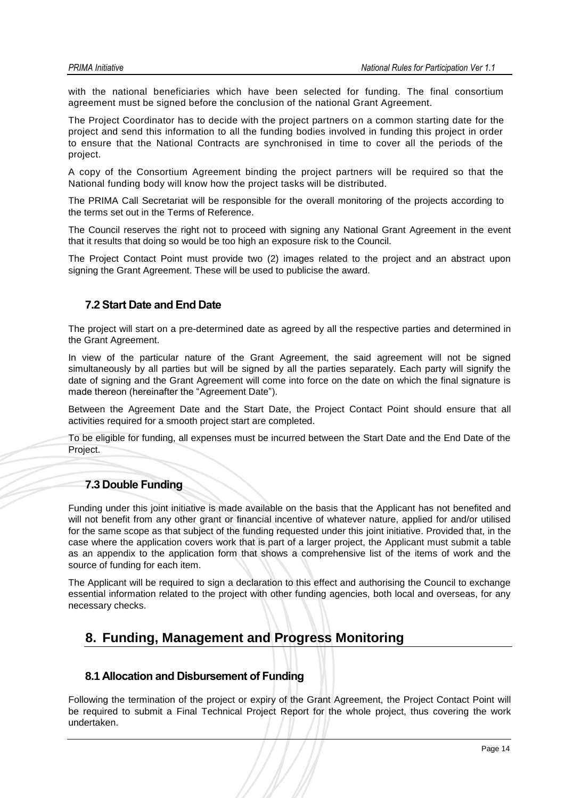with the national beneficiaries which have been selected for funding. The final consortium agreement must be signed before the conclusion of the national Grant Agreement.

The Project Coordinator has to decide with the project partners on a common starting date for the project and send this information to all the funding bodies involved in funding this project in order to ensure that the National Contracts are synchronised in time to cover all the periods of the project.

A copy of the Consortium Agreement binding the project partners will be required so that the National funding body will know how the project tasks will be distributed.

The PRIMA Call Secretariat will be responsible for the overall monitoring of the projects according to the terms set out in the Terms of Reference.

The Council reserves the right not to proceed with signing any National Grant Agreement in the event that it results that doing so would be too high an exposure risk to the Council.

The Project Contact Point must provide two (2) images related to the project and an abstract upon signing the Grant Agreement. These will be used to publicise the award.

## <span id="page-14-0"></span>**7.2 Start Date and End Date**

The project will start on a pre-determined date as agreed by all the respective parties and determined in the Grant Agreement.

In view of the particular nature of the Grant Agreement, the said agreement will not be signed simultaneously by all parties but will be signed by all the parties separately. Each party will signify the date of signing and the Grant Agreement will come into force on the date on which the final signature is made thereon (hereinafter the "Agreement Date").

Between the Agreement Date and the Start Date, the Project Contact Point should ensure that all activities required for a smooth project start are completed.

To be eligible for funding, all expenses must be incurred between the Start Date and the End Date of the Project.

### <span id="page-14-1"></span>**7.3 Double Funding**

Funding under this joint initiative is made available on the basis that the Applicant has not benefited and will not benefit from any other grant or financial incentive of whatever nature, applied for and/or utilised for the same scope as that subject of the funding requested under this joint initiative. Provided that, in the case where the application covers work that is part of a larger project, the Applicant must submit a table as an appendix to the application form that shows a comprehensive list of the items of work and the source of funding for each item.

The Applicant will be required to sign a declaration to this effect and authorising the Council to exchange essential information related to the project with other funding agencies, both local and overseas, for any necessary checks.

## <span id="page-14-2"></span>**8. Funding, Management and Progress Monitoring**

### <span id="page-14-3"></span>**8.1 Allocation and Disbursement of Funding**

Following the termination of the project or expiry of the Grant Agreement, the Project Contact Point will be required to submit a Final Technical Project Report for the whole project, thus covering the work undertaken.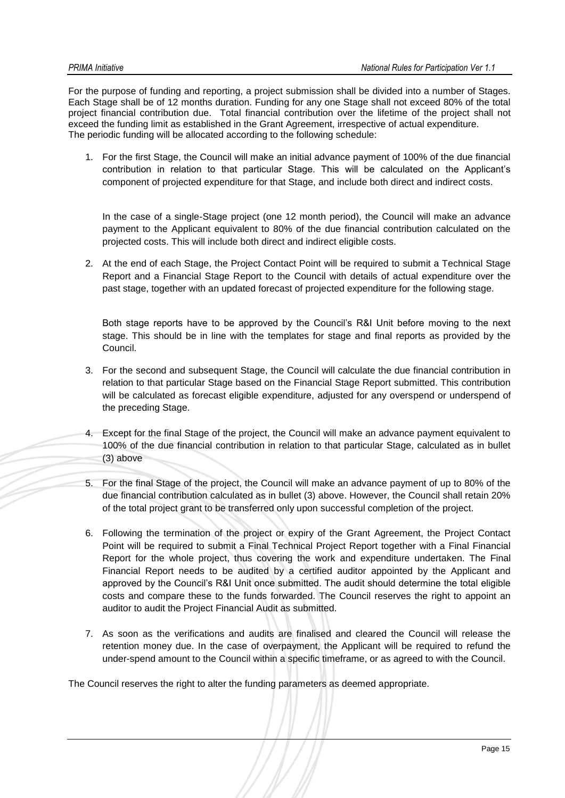For the purpose of funding and reporting, a project submission shall be divided into a number of Stages. Each Stage shall be of 12 months duration. Funding for any one Stage shall not exceed 80% of the total project financial contribution due. Total financial contribution over the lifetime of the project shall not exceed the funding limit as established in the Grant Agreement, irrespective of actual expenditure. The periodic funding will be allocated according to the following schedule:

1. For the first Stage, the Council will make an initial advance payment of 100% of the due financial contribution in relation to that particular Stage. This will be calculated on the Applicant's component of projected expenditure for that Stage, and include both direct and indirect costs.

In the case of a single-Stage project (one 12 month period), the Council will make an advance payment to the Applicant equivalent to 80% of the due financial contribution calculated on the projected costs. This will include both direct and indirect eligible costs.

2. At the end of each Stage, the Project Contact Point will be required to submit a Technical Stage Report and a Financial Stage Report to the Council with details of actual expenditure over the past stage, together with an updated forecast of projected expenditure for the following stage.

Both stage reports have to be approved by the Council's R&I Unit before moving to the next stage. This should be in line with the templates for stage and final reports as provided by the Council.

- 3. For the second and subsequent Stage, the Council will calculate the due financial contribution in relation to that particular Stage based on the Financial Stage Report submitted. This contribution will be calculated as forecast eligible expenditure, adjusted for any overspend or underspend of the preceding Stage.
- 4. Except for the final Stage of the project, the Council will make an advance payment equivalent to 100% of the due financial contribution in relation to that particular Stage, calculated as in bullet (3) above
- 5. For the final Stage of the project, the Council will make an advance payment of up to 80% of the due financial contribution calculated as in bullet (3) above. However, the Council shall retain 20% of the total project grant to be transferred only upon successful completion of the project.
- 6. Following the termination of the project or expiry of the Grant Agreement, the Project Contact Point will be required to submit a Final Technical Project Report together with a Final Financial Report for the whole project, thus covering the work and expenditure undertaken. The Final Financial Report needs to be audited by a certified auditor appointed by the Applicant and approved by the Council's R&I Unit once submitted. The audit should determine the total eligible costs and compare these to the funds forwarded. The Council reserves the right to appoint an auditor to audit the Project Financial Audit as submitted.
- 7. As soon as the verifications and audits are finalised and cleared the Council will release the retention money due. In the case of overpayment, the Applicant will be required to refund the under-spend amount to the Council within a specific timeframe, or as agreed to with the Council.

The Council reserves the right to alter the funding parameters as deemed appropriate.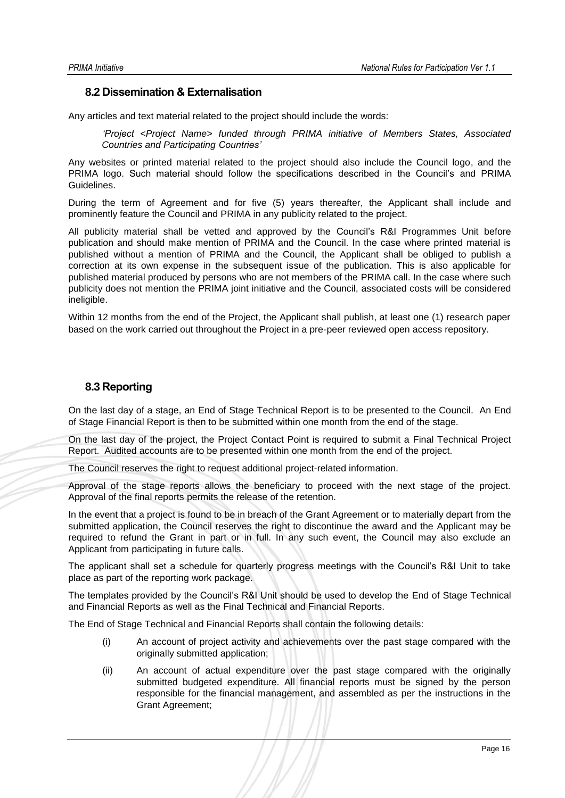### <span id="page-16-0"></span>**8.2 Dissemination & Externalisation**

Any articles and text material related to the project should include the words:

*'Project <Project Name> funded through PRIMA initiative of Members States, Associated Countries and Participating Countries'*

Any websites or printed material related to the project should also include the Council logo, and the PRIMA logo. Such material should follow the specifications described in the Council's and PRIMA Guidelines.

During the term of Agreement and for five (5) years thereafter, the Applicant shall include and prominently feature the Council and PRIMA in any publicity related to the project.

All publicity material shall be vetted and approved by the Council's R&I Programmes Unit before publication and should make mention of PRIMA and the Council. In the case where printed material is published without a mention of PRIMA and the Council, the Applicant shall be obliged to publish a correction at its own expense in the subsequent issue of the publication. This is also applicable for published material produced by persons who are not members of the PRIMA call. In the case where such publicity does not mention the PRIMA joint initiative and the Council, associated costs will be considered ineligible.

Within 12 months from the end of the Project, the Applicant shall publish, at least one (1) research paper based on the work carried out throughout the Project in a pre-peer reviewed open access repository.

## <span id="page-16-1"></span>**8.3 Reporting**

On the last day of a stage, an End of Stage Technical Report is to be presented to the Council. An End of Stage Financial Report is then to be submitted within one month from the end of the stage.

On the last day of the project, the Project Contact Point is required to submit a Final Technical Project Report. Audited accounts are to be presented within one month from the end of the project.

The Council reserves the right to request additional project-related information.

Approval of the stage reports allows the beneficiary to proceed with the next stage of the project. Approval of the final reports permits the release of the retention.

In the event that a project is found to be in breach of the Grant Agreement or to materially depart from the submitted application, the Council reserves the right to discontinue the award and the Applicant may be required to refund the Grant in part or in full. In any such event, the Council may also exclude an Applicant from participating in future calls.

The applicant shall set a schedule for quarterly progress meetings with the Council's R&I Unit to take place as part of the reporting work package.

The templates provided by the Council's R&I Unit should be used to develop the End of Stage Technical and Financial Reports as well as the Final Technical and Financial Reports.

The End of Stage Technical and Financial Reports shall contain the following details:

- (i) An account of project activity and achievements over the past stage compared with the originally submitted application;
- (ii) An account of actual expenditure over the past stage compared with the originally submitted budgeted expenditure. All financial reports must be signed by the person responsible for the financial management, and assembled as per the instructions in the Grant Agreement;